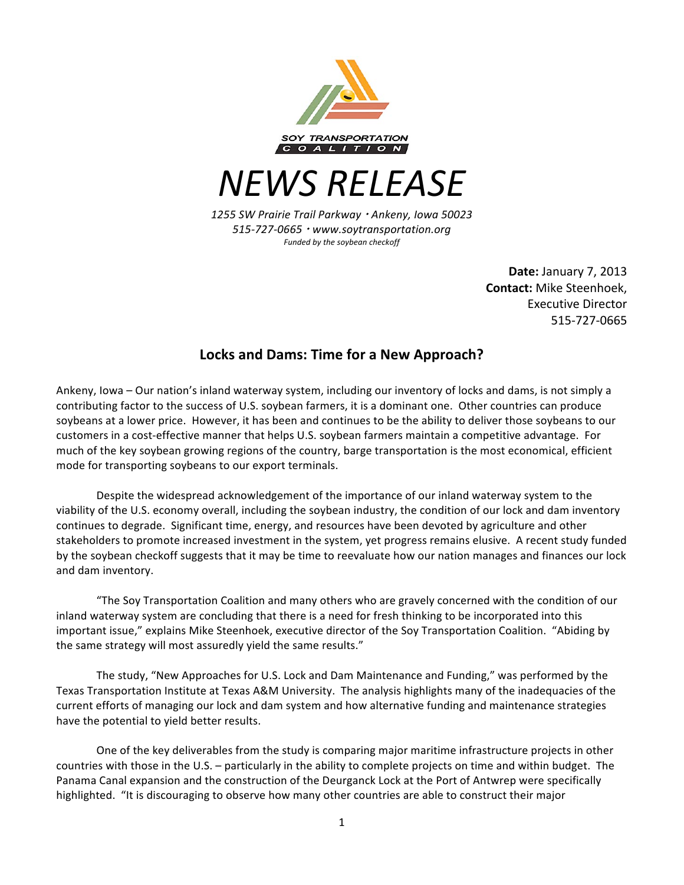

*NEWS RELEASE*

*1255 SW Prairie Trail Parkway Ankeny, Iowa 50023 515-727-0665 www.soytransportation.org* Funded by the soybean checkoff

> **Date: January 7, 2013 Contact:** Mike Steenhoek, Executive Director 515-727-0665

## Locks and Dams: Time for a New Approach?

Ankeny, Iowa – Our nation's inland waterway system, including our inventory of locks and dams, is not simply a contributing factor to the success of U.S. soybean farmers, it is a dominant one. Other countries can produce soybeans at a lower price. However, it has been and continues to be the ability to deliver those soybeans to our customers in a cost-effective manner that helps U.S. soybean farmers maintain a competitive advantage. For much of the key soybean growing regions of the country, barge transportation is the most economical, efficient mode for transporting soybeans to our export terminals.

Despite the widespread acknowledgement of the importance of our inland waterway system to the viability of the U.S. economy overall, including the soybean industry, the condition of our lock and dam inventory continues to degrade. Significant time, energy, and resources have been devoted by agriculture and other stakeholders to promote increased investment in the system, yet progress remains elusive. A recent study funded by the soybean checkoff suggests that it may be time to reevaluate how our nation manages and finances our lock and dam inventory.

"The Soy Transportation Coalition and many others who are gravely concerned with the condition of our inland waterway system are concluding that there is a need for fresh thinking to be incorporated into this important issue," explains Mike Steenhoek, executive director of the Soy Transportation Coalition. "Abiding by the same strategy will most assuredly yield the same results."

The study, "New Approaches for U.S. Lock and Dam Maintenance and Funding," was performed by the Texas Transportation Institute at Texas A&M University. The analysis highlights many of the inadequacies of the current efforts of managing our lock and dam system and how alternative funding and maintenance strategies have the potential to yield better results.

One of the key deliverables from the study is comparing major maritime infrastructure projects in other countries with those in the U.S. – particularly in the ability to complete projects on time and within budget. The Panama Canal expansion and the construction of the Deurganck Lock at the Port of Antwrep were specifically highlighted. "It is discouraging to observe how many other countries are able to construct their major